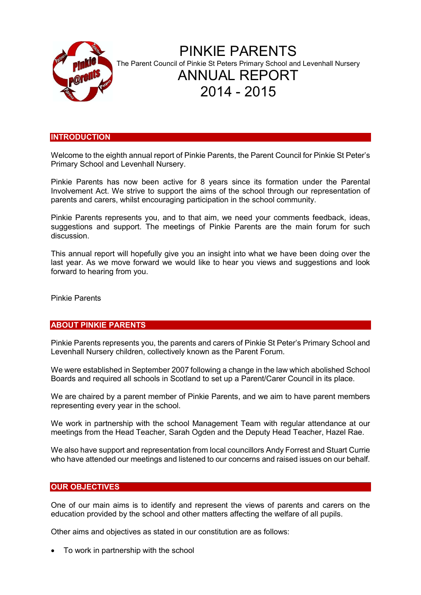

# PINKIE PARENTS The Parent Council of Pinkie St Peters Primary School and Levenhall Nursery ANNUAL REPORT 2014 - 2015

### **INTRODUCTION**

Welcome to the eighth annual report of Pinkie Parents, the Parent Council for Pinkie St Peter's Primary School and Levenhall Nursery.

Pinkie Parents has now been active for 8 years since its formation under the Parental Involvement Act. We strive to support the aims of the school through our representation of parents and carers, whilst encouraging participation in the school community.

Pinkie Parents represents you, and to that aim, we need your comments feedback, ideas, suggestions and support. The meetings of Pinkie Parents are the main forum for such discussion.

This annual report will hopefully give you an insight into what we have been doing over the last year. As we move forward we would like to hear you views and suggestions and look forward to hearing from you.

Pinkie Parents

# ABOUT PINKIE PARENTS

Pinkie Parents represents you, the parents and carers of Pinkie St Peter's Primary School and Levenhall Nursery children, collectively known as the Parent Forum.

We were established in September 2007 following a change in the law which abolished School Boards and required all schools in Scotland to set up a Parent/Carer Council in its place.

We are chaired by a parent member of Pinkie Parents, and we aim to have parent members representing every year in the school.

We work in partnership with the school Management Team with regular attendance at our meetings from the Head Teacher, Sarah Ogden and the Deputy Head Teacher, Hazel Rae.

We also have support and representation from local councillors Andy Forrest and Stuart Currie who have attended our meetings and listened to our concerns and raised issues on our behalf.

# **OUR OBJECTIVES**

One of our main aims is to identify and represent the views of parents and carers on the education provided by the school and other matters affecting the welfare of all pupils.

Other aims and objectives as stated in our constitution are as follows:

• To work in partnership with the school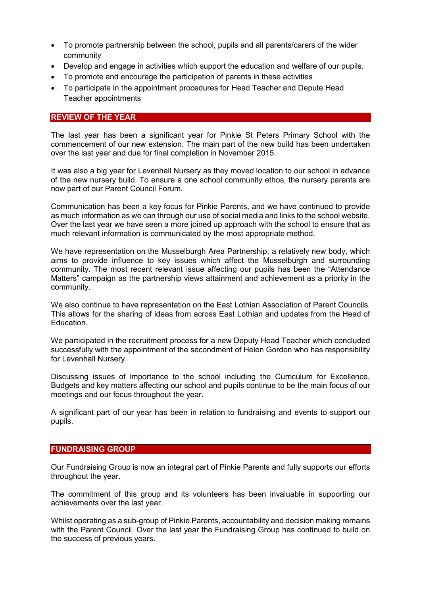- To promote partnership between the school, pupils and all parents/carers of the wider community
- Develop and engage in activities which support the education and welfare of our pupils.
- To promote and encourage the participation of parents in these activities
- To participate in the appointment procedures for Head Teacher and Depute Head Teacher appointments

#### REVIEW OF THE YEAR

The last year has been a significant year for Pinkie St Peters Primary School with the commencement of our new extension. The main part of the new build has been undertaken over the last year and due for final completion in November 2015.

It was also a big year for Levenhall Nursery as they moved location to our school in advance of the new nursery build. To ensure a one school community ethos, the nursery parents are now part of our Parent Council Forum.

Communication has been a key focus for Pinkie Parents, and we have continued to provide as much information as we can through our use of social media and links to the school website. Over the last year we have seen a more joined up approach with the school to ensure that as much relevant information is communicated by the most appropriate method.

We have representation on the Musselburgh Area Partnership, a relatively new body, which aims to provide influence to key issues which affect the Musselburgh and surrounding community. The most recent relevant issue affecting our pupils has been the "Attendance Matters" campaign as the partnership views attainment and achievement as a priority in the community.

We also continue to have representation on the East Lothian Association of Parent Councils. This allows for the sharing of ideas from across East Lothian and updates from the Head of Education.

We participated in the recruitment process for a new Deputy Head Teacher which concluded successfully with the appointment of the secondment of Helen Gordon who has responsibility for Levenhall Nursery.

Discussing issues of importance to the school including the Curriculum for Excellence, Budgets and key matters affecting our school and pupils continue to be the main focus of our meetings and our focus throughout the year.

A significant part of our year has been in relation to fundraising and events to support our pupils.

# FUNDRAISING GROUP

Our Fundraising Group is now an integral part of Pinkie Parents and fully supports our efforts throughout the year.

The commitment of this group and its volunteers has been invaluable in supporting our achievements over the last year.

Whilst operating as a sub-group of Pinkie Parents, accountability and decision making remains with the Parent Council. Over the last year the Fundraising Group has continued to build on the success of previous years.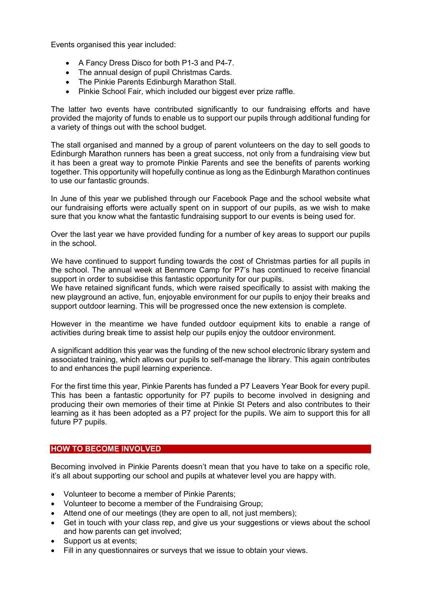Events organised this year included:

- A Fancy Dress Disco for both P1-3 and P4-7.
- The annual design of pupil Christmas Cards.
- The Pinkie Parents Edinburgh Marathon Stall.
- Pinkie School Fair, which included our biggest ever prize raffle.

The latter two events have contributed significantly to our fundraising efforts and have provided the majority of funds to enable us to support our pupils through additional funding for a variety of things out with the school budget.

The stall organised and manned by a group of parent volunteers on the day to sell goods to Edinburgh Marathon runners has been a great success, not only from a fundraising view but it has been a great way to promote Pinkie Parents and see the benefits of parents working together. This opportunity will hopefully continue as long as the Edinburgh Marathon continues to use our fantastic grounds.

In June of this year we published through our Facebook Page and the school website what our fundraising efforts were actually spent on in support of our pupils, as we wish to make sure that you know what the fantastic fundraising support to our events is being used for.

Over the last year we have provided funding for a number of key areas to support our pupils in the school.

We have continued to support funding towards the cost of Christmas parties for all pupils in the school. The annual week at Benmore Camp for P7's has continued to receive financial support in order to subsidise this fantastic opportunity for our pupils.

We have retained significant funds, which were raised specifically to assist with making the new playground an active, fun, enjoyable environment for our pupils to enjoy their breaks and support outdoor learning. This will be progressed once the new extension is complete.

However in the meantime we have funded outdoor equipment kits to enable a range of activities during break time to assist help our pupils enjoy the outdoor environment.

A significant addition this year was the funding of the new school electronic library system and associated training, which allows our pupils to self-manage the library. This again contributes to and enhances the pupil learning experience.

For the first time this year, Pinkie Parents has funded a P7 Leavers Year Book for every pupil. This has been a fantastic opportunity for P7 pupils to become involved in designing and producing their own memories of their time at Pinkie St Peters and also contributes to their learning as it has been adopted as a P7 project for the pupils. We aim to support this for all future P7 pupils.

# HOW TO BECOME INVOLVED

Becoming involved in Pinkie Parents doesn't mean that you have to take on a specific role, it's all about supporting our school and pupils at whatever level you are happy with.

- Volunteer to become a member of Pinkie Parents:
- Volunteer to become a member of the Fundraising Group;
- Attend one of our meetings (they are open to all, not just members);
- Get in touch with your class rep, and give us your suggestions or views about the school and how parents can get involved;
- Support us at events;
- Fill in any questionnaires or surveys that we issue to obtain your views.